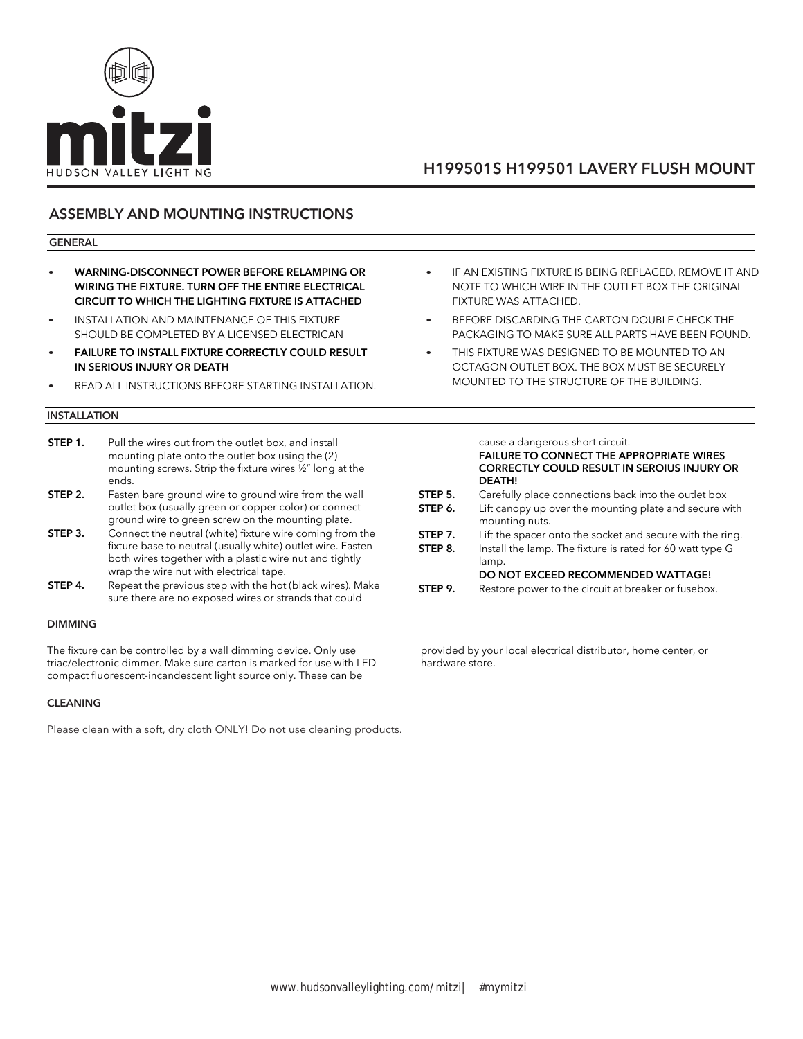

# H199501S H199501 LAVERY FLUSH MOUNT

## ASSEMBLY AND MOUNTING INSTRUCTIONS

### GENERAL

- WARNING-DISCONNECT POWER BEFORE RELAMPING OR WIRING THE FIXTURE. TURN OFF THE ENTIRE ELECTRICAL CIRCUIT TO WHICH THE LIGHTING FIXTURE IS ATTACHED
- INSTALLATION AND MAINTENANCE OF THIS FIXTURE SHOULD BE COMPLETED BY A LICENSED ELECTRICAN
- **FAILURE TO INSTALL FIXTURE CORRECTLY COULD RESULT** IN SERIOUS INJURY OR DEATH
- READ ALL INSTRUCTIONS BEFORE STARTING INSTALLATION.

### INSTALLATION

| STEP 1. | Pull the wires out from the outlet box, and install<br>mounting plate onto the outlet box using the (2)<br>mounting screws. Strip the fixture wires 1/2" long at the<br>ends.                                                 |
|---------|-------------------------------------------------------------------------------------------------------------------------------------------------------------------------------------------------------------------------------|
| STEP 2. | Fasten bare ground wire to ground wire from the wall<br>outlet box (usually green or copper color) or connect<br>ground wire to green screw on the mounting plate.                                                            |
| STEP 3. | Connect the neutral (white) fixture wire coming from the<br>fixture base to neutral (usually white) outlet wire. Fasten<br>both wires together with a plastic wire nut and tightly<br>wrap the wire nut with electrical tape. |
| STEP 4. | Repeat the previous step with the hot (black wires). Make<br>sure there are no exposed wires or strands that could                                                                                                            |

### DIMMING

The fixture can be controlled by a wall dimming device. Only use triac/electronic dimmer. Make sure carton is marked for use with LED compact fluorescent-incandescent light source only. These can be

### CLEANING

Please clean with a soft, dry cloth ONLY! Do not use cleaning products.

- IF AN EXISTING FIXTURE IS BEING REPLACED, REMOVE IT AND NOTE TO WHICH WIRE IN THE OUTLET BOX THE ORIGINAL FIXTURE WAS ATTACHED.
- BEFORE DISCARDING THE CARTON DOUBLE CHECK THE PACKAGING TO MAKE SURE ALL PARTS HAVE BEEN FOUND.
- THIS FIXTURE WAS DESIGNED TO BE MOUNTED TO AN OCTAGON OUTLET BOX. THE BOX MUST BE SECURELY MOUNTED TO THE STRUCTURE OF THE BUILDING.

|         | cause a dangerous short circuit.<br><b>FAILURE TO CONNECT THE APPROPRIATE WIRES</b><br><b>CORRECTLY COULD RESULT IN SEROIUS INJURY OR</b><br><b>DEATH!</b> |
|---------|------------------------------------------------------------------------------------------------------------------------------------------------------------|
| STEP 5. | Carefully place connections back into the outlet box                                                                                                       |
| STEP 6. | Lift canopy up over the mounting plate and secure with<br>mounting nuts.                                                                                   |
| STEP 7. | Lift the spacer onto the socket and secure with the ring.                                                                                                  |
| STEP 8. | Install the lamp. The fixture is rated for 60 watt type G<br>lamp.                                                                                         |
|         | DO NOT EXCEED RECOMMENDED WATTAGE!                                                                                                                         |
| STEP 9. | Restore power to the circuit at breaker or fusebox.                                                                                                        |
|         |                                                                                                                                                            |

provided by your local electrical distributor, home center, or hardware store.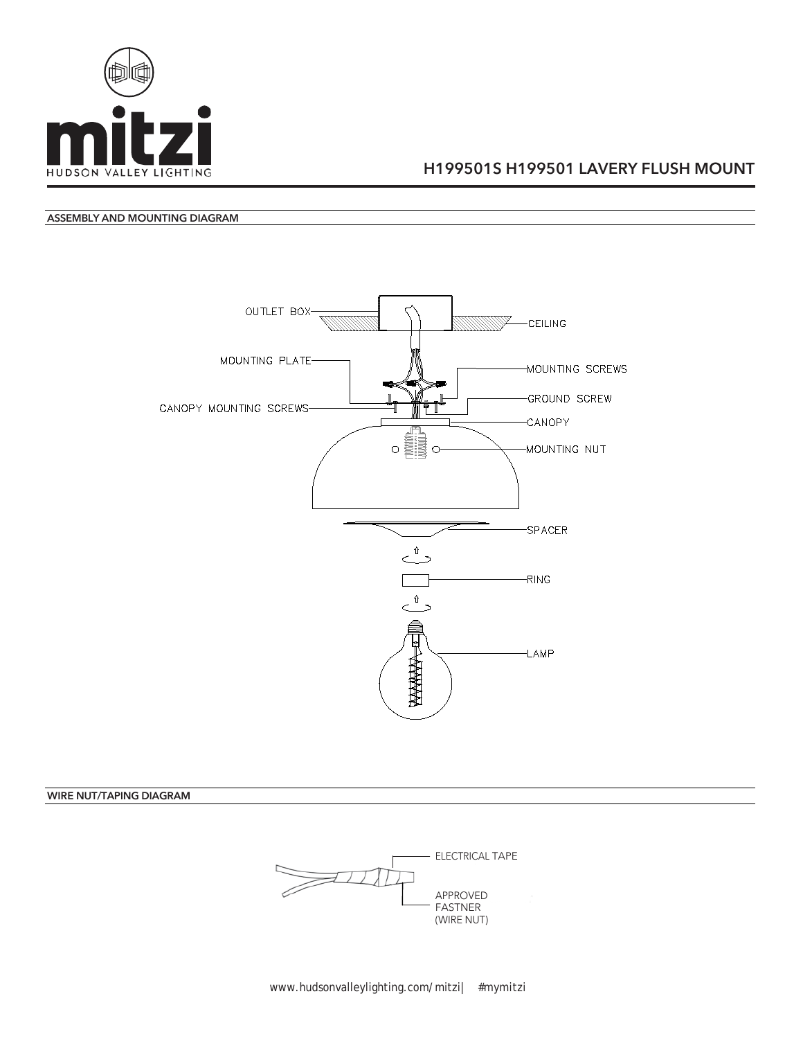

## H199501S H199501 LAVERY FLUSH MOUNT

### ASSEMBLY AND MOUNTING DIAGRAM



WIRE NUT/TAPING DIAGRAM

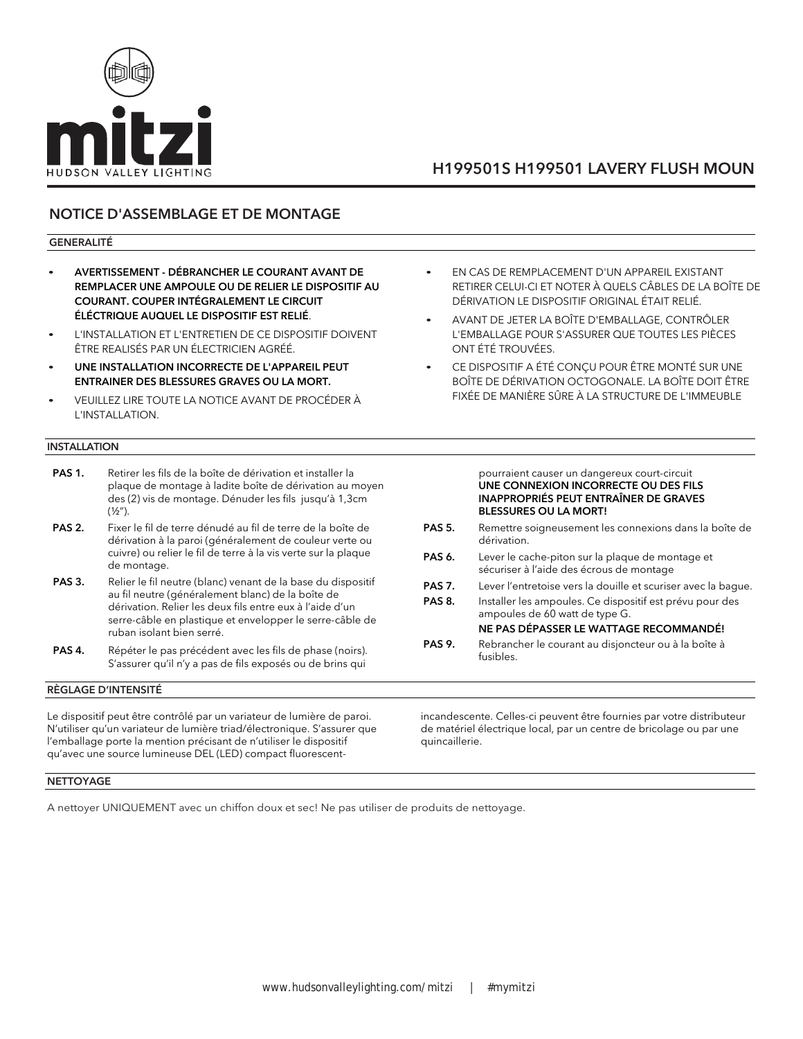

# H199501S H199501 LAVERY FLUSH MOUN

## NOTICE D'ASSEMBLAGE ET DE MONTAGE

### GENERALITÉ

- AVERTISSEMENT DÉBRANCHER LE COURANT AVANT DE REMPLACER UNE AMPOULE OU DE RELIER LE DISPOSITIF AU COURANT. COUPER INTÉGRALEMENT LE CIRCUIT ÉLÉCTRIQUE AUQUEL LE DISPOSITIF EST RELIÉ.
- L'INSTALLATION ET L'ENTRETIEN DE CE DISPOSITIF DOIVENT ÊTRE REALISÉS PAR UN ÉLECTRICIEN AGRÉÉ.
- UNE INSTALLATION INCORRECTE DE L'APPAREIL PEUT ENTRAINER DES BLESSURES GRAVES OU LA MORT.
- VEUILLEZ LIRE TOUTE LA NOTICE AVANT DE PROCÉDER À L'INSTALLATION.

### INSTALLATION

- PAS 1. Retirer les fils de la boîte de dérivation et installer la plaque de montage à ladite boîte de dérivation au moyen des (2) vis de montage. Dénuder les fils jusqu'à 1,3cm  $(1/2'')$ .
- PAS 2. Fixer le fil de terre dénudé au fil de terre de la boîte de dérivation à la paroi (généralement de couleur verte ou cuivre) ou relier le fil de terre à la vis verte sur la plaque de montage.
- PAS 3. Relier le fil neutre (blanc) venant de la base du dispositif au fil neutre (généralement blanc) de la boîte de dérivation. Relier les deux fils entre eux à l'aide d'un serre-câble en plastique et envelopper le serre-câble de ruban isolant bien serré.
- PAS 4. Répéter le pas précédent avec les fils de phase (noirs). S'assurer qu'il n'y a pas de fils exposés ou de brins qui

### RÈGLAGE D'INTENSITÉ

Le dispositif peut être contrôlé par un variateur de lumière de paroi. N'utiliser qu'un variateur de lumière triad/électronique. S'assurer que l'emballage porte la mention précisant de n'utiliser le dispositif qu'avec une source lumineuse DEL (LED) compact fluorescent• EN CAS DE REMPLACEMENT D'UN APPAREIL EXISTANT RETIRER CELUI-CI ET NOTER À QUELS CÂBLES DE LA BOÎTE DE DÉRIVATION LE DISPOSITIF ORIGINAL ÉTAIT RELIÉ.

- AVANT DE JETER LA BOÎTE D'EMBALLAGE, CONTRÔLER L'EMBALLAGE POUR S'ASSURER QUE TOUTES LES PIÈCES ONT ÉTÉ TROUVÉES.
- CE DISPOSITIF A ÉTÉ CONÇU POUR ÊTRE MONTÉ SUR UNE BOÎTE DE DÉRIVATION OCTOGONALE. LA BOÎTE DOIT ÊTRE FIXÉE DE MANIÈRE SÛRE À LA STRUCTURE DE L'IMMEUBLE

#### pourraient causer un dangereux court-circuit UNE CONNEXION INCORRECTE OU DES FILS INAPPROPRIÉS PEUT ENTRAÎNER DE GRAVES BLESSURES OU LA MORT!

- PAS 5. Remettre soigneusement les connexions dans la boîte de dérivation.
- PAS 6. Lever le cache-piton sur la plaque de montage et sécuriser à l'aide des écrous de montage
- PAS 7. Lever l'entretoise vers la douille et scuriser avec la bague.
- PAS 8. Installer les ampoules. Ce dispositif est prévu pour des ampoules de 60 watt de type G.
	- NE PAS DÉPASSER LE WATTAGE RECOMMANDÉ!
- PAS 9. Rebrancher le courant au disjoncteur ou à la boîte à fusibles.

incandescente. Celles-ci peuvent être fournies par votre distributeur de matériel électrique local, par un centre de bricolage ou par une quincaillerie.

### **NETTOYAGE**

A nettoyer UNIQUEMENT avec un chiffon doux et sec! Ne pas utiliser de produits de nettoyage.